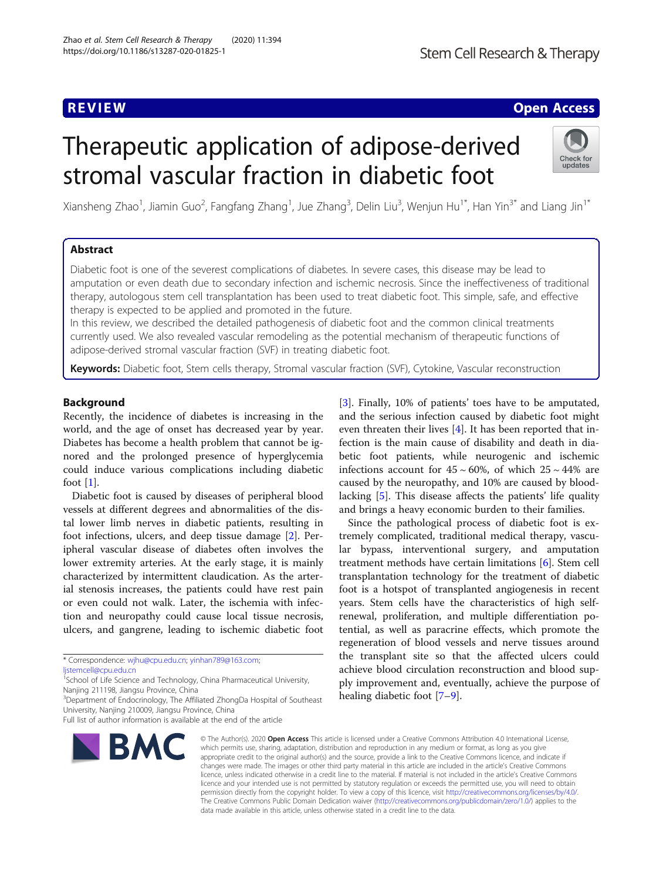# **REVIEW CONTROL** CONTROL CONTROL CONTROL CONTROL CONTROL CONTROL CONTROL CONTROL CONTROL CONTROL CONTROL CONTROL

# Therapeutic application of adipose-derived stromal vascular fraction in diabetic foot



Xiansheng Zhao<sup>1</sup>, Jiamin Guo<sup>2</sup>, Fangfang Zhang<sup>1</sup>, Jue Zhang<sup>3</sup>, Delin Liu<sup>3</sup>, Wenjun Hu<sup>1\*</sup>, Han Yin<sup>3\*</sup> and Liang Jin<sup>1\*</sup>

# Abstract

Diabetic foot is one of the severest complications of diabetes. In severe cases, this disease may be lead to amputation or even death due to secondary infection and ischemic necrosis. Since the ineffectiveness of traditional therapy, autologous stem cell transplantation has been used to treat diabetic foot. This simple, safe, and effective therapy is expected to be applied and promoted in the future.

In this review, we described the detailed pathogenesis of diabetic foot and the common clinical treatments currently used. We also revealed vascular remodeling as the potential mechanism of therapeutic functions of adipose-derived stromal vascular fraction (SVF) in treating diabetic foot.

Keywords: Diabetic foot, Stem cells therapy, Stromal vascular fraction (SVF), Cytokine, Vascular reconstruction

# Background

Recently, the incidence of diabetes is increasing in the world, and the age of onset has decreased year by year. Diabetes has become a health problem that cannot be ignored and the prolonged presence of hyperglycemia could induce various complications including diabetic foot  $[1]$ .

Diabetic foot is caused by diseases of peripheral blood vessels at different degrees and abnormalities of the distal lower limb nerves in diabetic patients, resulting in foot infections, ulcers, and deep tissue damage [\[2](#page-5-0)]. Peripheral vascular disease of diabetes often involves the lower extremity arteries. At the early stage, it is mainly characterized by intermittent claudication. As the arterial stenosis increases, the patients could have rest pain or even could not walk. Later, the ischemia with infection and neuropathy could cause local tissue necrosis, ulcers, and gangrene, leading to ischemic diabetic foot

Full list of author information is available at the end of the article



[[3\]](#page-5-0). Finally, 10% of patients' toes have to be amputated, and the serious infection caused by diabetic foot might even threaten their lives [\[4](#page-5-0)]. It has been reported that infection is the main cause of disability and death in diabetic foot patients, while neurogenic and ischemic infections account for  $45 \sim 60\%$ , of which  $25 \sim 44\%$  are caused by the neuropathy, and 10% are caused by bloodlacking [[5\]](#page-5-0). This disease affects the patients' life quality and brings a heavy economic burden to their families.

Since the pathological process of diabetic foot is extremely complicated, traditional medical therapy, vascular bypass, interventional surgery, and amputation treatment methods have certain limitations [[6\]](#page-5-0). Stem cell transplantation technology for the treatment of diabetic foot is a hotspot of transplanted angiogenesis in recent years. Stem cells have the characteristics of high selfrenewal, proliferation, and multiple differentiation potential, as well as paracrine effects, which promote the regeneration of blood vessels and nerve tissues around the transplant site so that the affected ulcers could achieve blood circulation reconstruction and blood supply improvement and, eventually, achieve the purpose of healing diabetic foot [\[7](#page-5-0)–[9\]](#page-5-0).

© The Author(s), 2020 **Open Access** This article is licensed under a Creative Commons Attribution 4.0 International License, which permits use, sharing, adaptation, distribution and reproduction in any medium or format, as long as you give appropriate credit to the original author(s) and the source, provide a link to the Creative Commons licence, and indicate if changes were made. The images or other third party material in this article are included in the article's Creative Commons licence, unless indicated otherwise in a credit line to the material. If material is not included in the article's Creative Commons licence and your intended use is not permitted by statutory regulation or exceeds the permitted use, you will need to obtain permission directly from the copyright holder. To view a copy of this licence, visit [http://creativecommons.org/licenses/by/4.0/.](http://creativecommons.org/licenses/by/4.0/) The Creative Commons Public Domain Dedication waiver [\(http://creativecommons.org/publicdomain/zero/1.0/](http://creativecommons.org/publicdomain/zero/1.0/)) applies to the data made available in this article, unless otherwise stated in a credit line to the data.

<sup>\*</sup> Correspondence: [wjhu@cpu.edu.cn](mailto:wjhu@cpu.edu.cn); [yinhan789@163.com;](mailto:yinhan789@163.com)

[ljstemcell@cpu.edu.cn](mailto:ljstemcell@cpu.edu.cn)

<sup>&</sup>lt;sup>1</sup>School of Life Science and Technology, China Pharmaceutical University, Nanjing 211198, Jiangsu Province, China

<sup>&</sup>lt;sup>3</sup>Department of Endocrinology, The Affiliated ZhongDa Hospital of Southeast University, Nanjing 210009, Jiangsu Province, China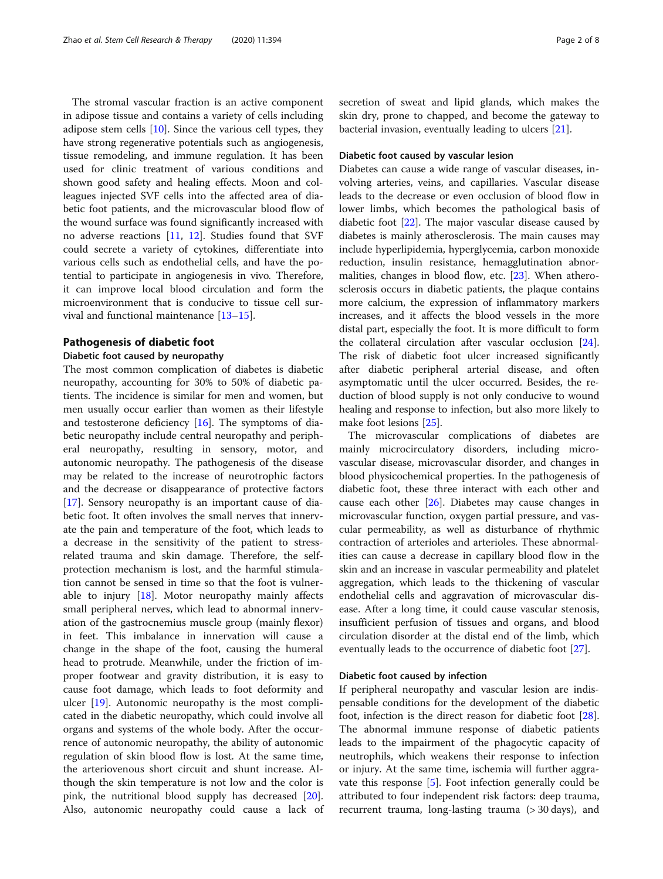The stromal vascular fraction is an active component in adipose tissue and contains a variety of cells including adipose stem cells  $[10]$  $[10]$  $[10]$ . Since the various cell types, they have strong regenerative potentials such as angiogenesis, tissue remodeling, and immune regulation. It has been used for clinic treatment of various conditions and shown good safety and healing effects. Moon and colleagues injected SVF cells into the affected area of diabetic foot patients, and the microvascular blood flow of the wound surface was found significantly increased with no adverse reactions [[11](#page-5-0), [12](#page-5-0)]. Studies found that SVF could secrete a variety of cytokines, differentiate into various cells such as endothelial cells, and have the potential to participate in angiogenesis in vivo. Therefore, it can improve local blood circulation and form the microenvironment that is conducive to tissue cell survival and functional maintenance [[13](#page-5-0)–[15](#page-5-0)].

#### Pathogenesis of diabetic foot

#### Diabetic foot caused by neuropathy

The most common complication of diabetes is diabetic neuropathy, accounting for 30% to 50% of diabetic patients. The incidence is similar for men and women, but men usually occur earlier than women as their lifestyle and testosterone deficiency [\[16](#page-5-0)]. The symptoms of diabetic neuropathy include central neuropathy and peripheral neuropathy, resulting in sensory, motor, and autonomic neuropathy. The pathogenesis of the disease may be related to the increase of neurotrophic factors and the decrease or disappearance of protective factors [[17\]](#page-5-0). Sensory neuropathy is an important cause of diabetic foot. It often involves the small nerves that innervate the pain and temperature of the foot, which leads to a decrease in the sensitivity of the patient to stressrelated trauma and skin damage. Therefore, the selfprotection mechanism is lost, and the harmful stimulation cannot be sensed in time so that the foot is vulnerable to injury [\[18\]](#page-5-0). Motor neuropathy mainly affects small peripheral nerves, which lead to abnormal innervation of the gastrocnemius muscle group (mainly flexor) in feet. This imbalance in innervation will cause a change in the shape of the foot, causing the humeral head to protrude. Meanwhile, under the friction of improper footwear and gravity distribution, it is easy to cause foot damage, which leads to foot deformity and ulcer [[19\]](#page-5-0). Autonomic neuropathy is the most complicated in the diabetic neuropathy, which could involve all organs and systems of the whole body. After the occurrence of autonomic neuropathy, the ability of autonomic regulation of skin blood flow is lost. At the same time, the arteriovenous short circuit and shunt increase. Although the skin temperature is not low and the color is pink, the nutritional blood supply has decreased [\[20](#page-5-0)]. Also, autonomic neuropathy could cause a lack of secretion of sweat and lipid glands, which makes the skin dry, prone to chapped, and become the gateway to bacterial invasion, eventually leading to ulcers [[21\]](#page-5-0).

# Diabetic foot caused by vascular lesion

Diabetes can cause a wide range of vascular diseases, involving arteries, veins, and capillaries. Vascular disease leads to the decrease or even occlusion of blood flow in lower limbs, which becomes the pathological basis of diabetic foot [\[22\]](#page-5-0). The major vascular disease caused by diabetes is mainly atherosclerosis. The main causes may include hyperlipidemia, hyperglycemia, carbon monoxide reduction, insulin resistance, hemagglutination abnor-malities, changes in blood flow, etc. [\[23](#page-6-0)]. When atherosclerosis occurs in diabetic patients, the plaque contains more calcium, the expression of inflammatory markers increases, and it affects the blood vessels in the more distal part, especially the foot. It is more difficult to form the collateral circulation after vascular occlusion [\[24](#page-6-0)]. The risk of diabetic foot ulcer increased significantly after diabetic peripheral arterial disease, and often asymptomatic until the ulcer occurred. Besides, the reduction of blood supply is not only conducive to wound healing and response to infection, but also more likely to make foot lesions [\[25](#page-6-0)].

The microvascular complications of diabetes are mainly microcirculatory disorders, including microvascular disease, microvascular disorder, and changes in blood physicochemical properties. In the pathogenesis of diabetic foot, these three interact with each other and cause each other  $[26]$  $[26]$ . Diabetes may cause changes in microvascular function, oxygen partial pressure, and vascular permeability, as well as disturbance of rhythmic contraction of arterioles and arterioles. These abnormalities can cause a decrease in capillary blood flow in the skin and an increase in vascular permeability and platelet aggregation, which leads to the thickening of vascular endothelial cells and aggravation of microvascular disease. After a long time, it could cause vascular stenosis, insufficient perfusion of tissues and organs, and blood circulation disorder at the distal end of the limb, which eventually leads to the occurrence of diabetic foot [\[27](#page-6-0)].

#### Diabetic foot caused by infection

If peripheral neuropathy and vascular lesion are indispensable conditions for the development of the diabetic foot, infection is the direct reason for diabetic foot [\[28](#page-6-0)]. The abnormal immune response of diabetic patients leads to the impairment of the phagocytic capacity of neutrophils, which weakens their response to infection or injury. At the same time, ischemia will further aggravate this response [\[5](#page-5-0)]. Foot infection generally could be attributed to four independent risk factors: deep trauma, recurrent trauma, long-lasting trauma (> 30 days), and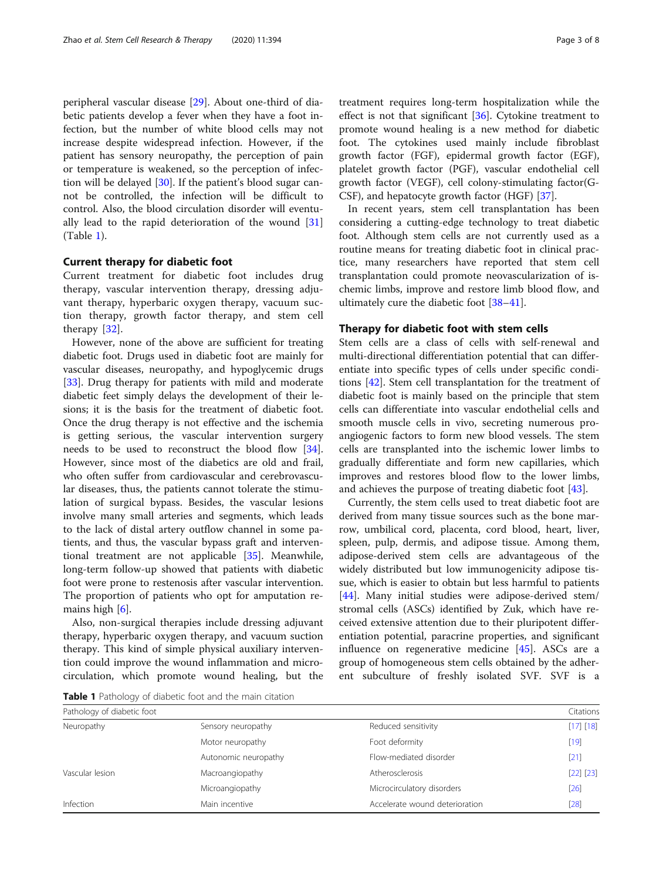peripheral vascular disease [\[29](#page-6-0)]. About one-third of diabetic patients develop a fever when they have a foot infection, but the number of white blood cells may not increase despite widespread infection. However, if the patient has sensory neuropathy, the perception of pain or temperature is weakened, so the perception of infection will be delayed [\[30](#page-6-0)]. If the patient's blood sugar cannot be controlled, the infection will be difficult to control. Also, the blood circulation disorder will eventually lead to the rapid deterioration of the wound [[31](#page-6-0)] (Table 1).

#### Current therapy for diabetic foot

Current treatment for diabetic foot includes drug therapy, vascular intervention therapy, dressing adjuvant therapy, hyperbaric oxygen therapy, vacuum suction therapy, growth factor therapy, and stem cell therapy [[32](#page-6-0)].

However, none of the above are sufficient for treating diabetic foot. Drugs used in diabetic foot are mainly for vascular diseases, neuropathy, and hypoglycemic drugs [[33\]](#page-6-0). Drug therapy for patients with mild and moderate diabetic feet simply delays the development of their lesions; it is the basis for the treatment of diabetic foot. Once the drug therapy is not effective and the ischemia is getting serious, the vascular intervention surgery needs to be used to reconstruct the blood flow [\[34](#page-6-0)]. However, since most of the diabetics are old and frail, who often suffer from cardiovascular and cerebrovascular diseases, thus, the patients cannot tolerate the stimulation of surgical bypass. Besides, the vascular lesions involve many small arteries and segments, which leads to the lack of distal artery outflow channel in some patients, and thus, the vascular bypass graft and interventional treatment are not applicable [[35\]](#page-6-0). Meanwhile, long-term follow-up showed that patients with diabetic foot were prone to restenosis after vascular intervention. The proportion of patients who opt for amputation remains high [[6\]](#page-5-0).

Also, non-surgical therapies include dressing adjuvant therapy, hyperbaric oxygen therapy, and vacuum suction therapy. This kind of simple physical auxiliary intervention could improve the wound inflammation and microcirculation, which promote wound healing, but the treatment requires long-term hospitalization while the effect is not that significant [\[36\]](#page-6-0). Cytokine treatment to promote wound healing is a new method for diabetic foot. The cytokines used mainly include fibroblast growth factor (FGF), epidermal growth factor (EGF), platelet growth factor (PGF), vascular endothelial cell growth factor (VEGF), cell colony-stimulating factor(G-CSF), and hepatocyte growth factor (HGF) [\[37](#page-6-0)].

In recent years, stem cell transplantation has been considering a cutting-edge technology to treat diabetic foot. Although stem cells are not currently used as a routine means for treating diabetic foot in clinical practice, many researchers have reported that stem cell transplantation could promote neovascularization of ischemic limbs, improve and restore limb blood flow, and ultimately cure the diabetic foot [\[38](#page-6-0)–[41\]](#page-6-0).

## Therapy for diabetic foot with stem cells

Stem cells are a class of cells with self-renewal and multi-directional differentiation potential that can differentiate into specific types of cells under specific conditions [\[42](#page-6-0)]. Stem cell transplantation for the treatment of diabetic foot is mainly based on the principle that stem cells can differentiate into vascular endothelial cells and smooth muscle cells in vivo, secreting numerous proangiogenic factors to form new blood vessels. The stem cells are transplanted into the ischemic lower limbs to gradually differentiate and form new capillaries, which improves and restores blood flow to the lower limbs, and achieves the purpose of treating diabetic foot [\[43](#page-6-0)].

Currently, the stem cells used to treat diabetic foot are derived from many tissue sources such as the bone marrow, umbilical cord, placenta, cord blood, heart, liver, spleen, pulp, dermis, and adipose tissue. Among them, adipose-derived stem cells are advantageous of the widely distributed but low immunogenicity adipose tissue, which is easier to obtain but less harmful to patients [[44\]](#page-6-0). Many initial studies were adipose-derived stem/ stromal cells (ASCs) identified by Zuk, which have received extensive attention due to their pluripotent differentiation potential, paracrine properties, and significant influence on regenerative medicine [\[45](#page-6-0)]. ASCs are a group of homogeneous stem cells obtained by the adherent subculture of freshly isolated SVF. SVF is a

Table 1 Pathology of diabetic foot and the main citation

| Pathology of diabetic foot |                                | Citations |
|----------------------------|--------------------------------|-----------|
| Sensory neuropathy         | Reduced sensitivity            | [17] [18] |
| Motor neuropathy           | Foot deformity                 | $[19]$    |
| Autonomic neuropathy       | Flow-mediated disorder         | $[21]$    |
| Macroangiopathy            | Atherosclerosis                | [22] [23] |
| Microangiopathy            | Microcirculatory disorders     | $[26]$    |
| Main incentive             | Accelerate wound deterioration | [28]      |
|                            |                                |           |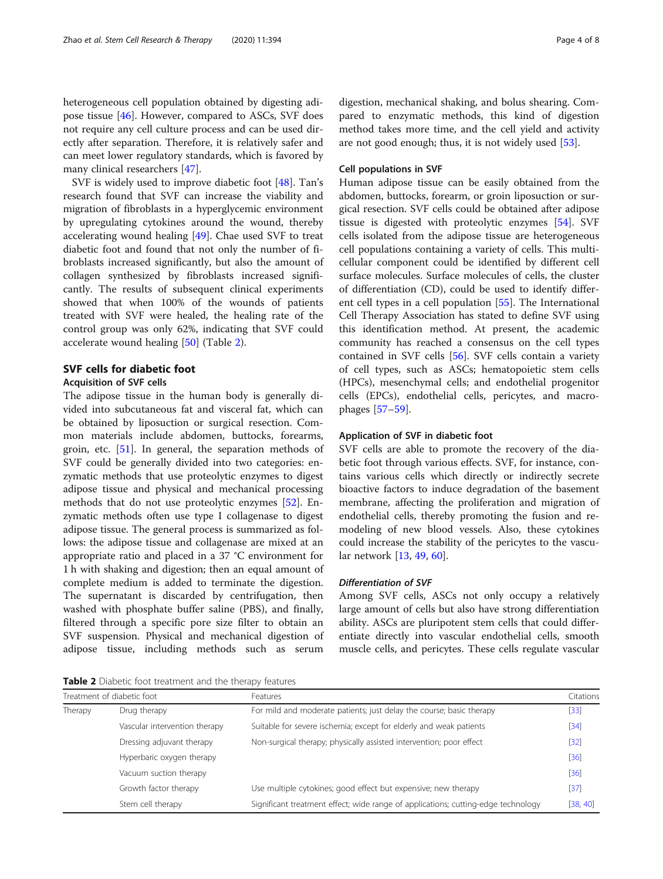heterogeneous cell population obtained by digesting adipose tissue [[46\]](#page-6-0). However, compared to ASCs, SVF does not require any cell culture process and can be used directly after separation. Therefore, it is relatively safer and can meet lower regulatory standards, which is favored by many clinical researchers [[47\]](#page-6-0).

SVF is widely used to improve diabetic foot [\[48](#page-6-0)]. Tan's research found that SVF can increase the viability and migration of fibroblasts in a hyperglycemic environment by upregulating cytokines around the wound, thereby accelerating wound healing [\[49](#page-6-0)]. Chae used SVF to treat diabetic foot and found that not only the number of fibroblasts increased significantly, but also the amount of collagen synthesized by fibroblasts increased significantly. The results of subsequent clinical experiments showed that when 100% of the wounds of patients treated with SVF were healed, the healing rate of the control group was only 62%, indicating that SVF could accelerate wound healing [\[50\]](#page-6-0) (Table 2).

## SVF cells for diabetic foot

#### Acquisition of SVF cells

The adipose tissue in the human body is generally divided into subcutaneous fat and visceral fat, which can be obtained by liposuction or surgical resection. Common materials include abdomen, buttocks, forearms, groin, etc. [\[51](#page-6-0)]. In general, the separation methods of SVF could be generally divided into two categories: enzymatic methods that use proteolytic enzymes to digest adipose tissue and physical and mechanical processing methods that do not use proteolytic enzymes [[52\]](#page-6-0). Enzymatic methods often use type I collagenase to digest adipose tissue. The general process is summarized as follows: the adipose tissue and collagenase are mixed at an appropriate ratio and placed in a 37 °C environment for 1 h with shaking and digestion; then an equal amount of complete medium is added to terminate the digestion. The supernatant is discarded by centrifugation, then washed with phosphate buffer saline (PBS), and finally, filtered through a specific pore size filter to obtain an SVF suspension. Physical and mechanical digestion of adipose tissue, including methods such as serum

digestion, mechanical shaking, and bolus shearing. Compared to enzymatic methods, this kind of digestion method takes more time, and the cell yield and activity are not good enough; thus, it is not widely used [\[53](#page-6-0)].

#### Cell populations in SVF

Human adipose tissue can be easily obtained from the abdomen, buttocks, forearm, or groin liposuction or surgical resection. SVF cells could be obtained after adipose tissue is digested with proteolytic enzymes [[54\]](#page-6-0). SVF cells isolated from the adipose tissue are heterogeneous cell populations containing a variety of cells. This multicellular component could be identified by different cell surface molecules. Surface molecules of cells, the cluster of differentiation (CD), could be used to identify different cell types in a cell population [[55\]](#page-6-0). The International Cell Therapy Association has stated to define SVF using this identification method. At present, the academic community has reached a consensus on the cell types contained in SVF cells [[56\]](#page-6-0). SVF cells contain a variety of cell types, such as ASCs; hematopoietic stem cells (HPCs), mesenchymal cells; and endothelial progenitor cells (EPCs), endothelial cells, pericytes, and macrophages [[57](#page-6-0)–[59](#page-6-0)].

## Application of SVF in diabetic foot

SVF cells are able to promote the recovery of the diabetic foot through various effects. SVF, for instance, contains various cells which directly or indirectly secrete bioactive factors to induce degradation of the basement membrane, affecting the proliferation and migration of endothelial cells, thereby promoting the fusion and remodeling of new blood vessels. Also, these cytokines could increase the stability of the pericytes to the vascular network [[13,](#page-5-0) [49,](#page-6-0) [60\]](#page-6-0).

Among SVF cells, ASCs not only occupy a relatively large amount of cells but also have strong differentiation ability. ASCs are pluripotent stem cells that could differentiate directly into vascular endothelial cells, smooth muscle cells, and pericytes. These cells regulate vascular

**Table 2** Diabetic foot treatment and the therapy features

| Treatment of diabetic foot |                               | Features                                                                          | Citations |
|----------------------------|-------------------------------|-----------------------------------------------------------------------------------|-----------|
| Therapy                    | Drug therapy                  | For mild and moderate patients; just delay the course; basic therapy              | $[33]$    |
|                            | Vascular intervention therapy | Suitable for severe ischemia; except for elderly and weak patients                | $[34]$    |
|                            | Dressing adjuvant therapy     | Non-surgical therapy; physically assisted intervention; poor effect               | $[32]$    |
|                            | Hyperbaric oxygen therapy     |                                                                                   | $[36]$    |
|                            | Vacuum suction therapy        |                                                                                   | $[36]$    |
|                            | Growth factor therapy         | Use multiple cytokines; good effect but expensive; new therapy                    | $[37]$    |
|                            | Stem cell therapy             | Significant treatment effect; wide range of applications; cutting-edge technology | [38, 40]  |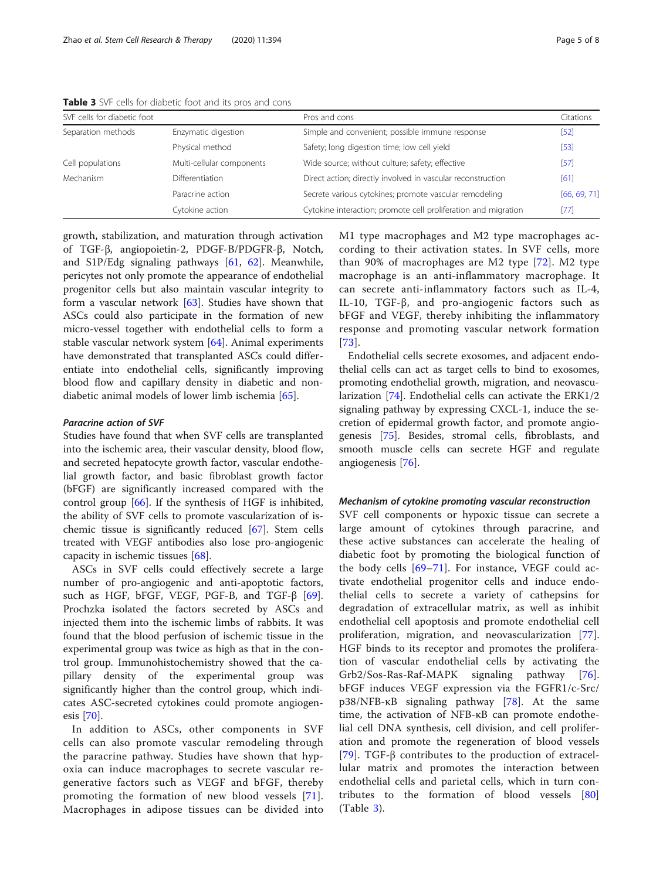| SVF cells for diabetic foot |                           | Pros and cons                                                  | Citations    |
|-----------------------------|---------------------------|----------------------------------------------------------------|--------------|
| Separation methods          | Enzymatic digestion       | Simple and convenient; possible immune response                | $[52]$       |
|                             | Physical method           | Safety; long digestion time; low cell yield                    | $[53]$       |
| Cell populations            | Multi-cellular components | Wide source; without culture; safety; effective                | $[57]$       |
| Mechanism                   | <b>Differentiation</b>    | Direct action; directly involved in vascular reconstruction    | [61]         |
|                             | Paracrine action          | Secrete various cytokines; promote vascular remodeling         | [66, 69, 71] |
|                             | Cytokine action           | Cytokine interaction; promote cell proliferation and migration | [77]         |

Table 3 SVF cells for diabetic foot and its pros and cons

growth, stabilization, and maturation through activation of TGF-β, angiopoietin-2, PDGF-B/PDGFR-β, Notch, and S1P/Edg signaling pathways [\[61](#page-6-0), [62\]](#page-6-0). Meanwhile, pericytes not only promote the appearance of endothelial progenitor cells but also maintain vascular integrity to form a vascular network [[63\]](#page-6-0). Studies have shown that ASCs could also participate in the formation of new micro-vessel together with endothelial cells to form a stable vascular network system [\[64](#page-6-0)]. Animal experiments have demonstrated that transplanted ASCs could differentiate into endothelial cells, significantly improving blood flow and capillary density in diabetic and nondiabetic animal models of lower limb ischemia [[65](#page-6-0)].

#### Paracrine action of SVF

Studies have found that when SVF cells are transplanted into the ischemic area, their vascular density, blood flow, and secreted hepatocyte growth factor, vascular endothelial growth factor, and basic fibroblast growth factor (bFGF) are significantly increased compared with the control group [[66\]](#page-6-0). If the synthesis of HGF is inhibited, the ability of SVF cells to promote vascularization of ischemic tissue is significantly reduced [\[67](#page-6-0)]. Stem cells treated with VEGF antibodies also lose pro-angiogenic capacity in ischemic tissues [[68\]](#page-6-0).

ASCs in SVF cells could effectively secrete a large number of pro-angiogenic and anti-apoptotic factors, such as HGF, bFGF, VEGF, PGF-B, and TGF-β [\[69](#page-6-0)]. Prochzka isolated the factors secreted by ASCs and injected them into the ischemic limbs of rabbits. It was found that the blood perfusion of ischemic tissue in the experimental group was twice as high as that in the control group. Immunohistochemistry showed that the capillary density of the experimental group was significantly higher than the control group, which indicates ASC-secreted cytokines could promote angiogenesis [\[70](#page-6-0)].

In addition to ASCs, other components in SVF cells can also promote vascular remodeling through the paracrine pathway. Studies have shown that hypoxia can induce macrophages to secrete vascular regenerative factors such as VEGF and bFGF, thereby promoting the formation of new blood vessels [[71](#page-6-0)]. Macrophages in adipose tissues can be divided into M1 type macrophages and M2 type macrophages according to their activation states. In SVF cells, more than 90% of macrophages are M2 type  $[72]$ . M2 type macrophage is an anti-inflammatory macrophage. It can secrete anti-inflammatory factors such as IL-4, IL-10, TGF-β, and pro-angiogenic factors such as bFGF and VEGF, thereby inhibiting the inflammatory response and promoting vascular network formation [[73](#page-6-0)].

Endothelial cells secrete exosomes, and adjacent endothelial cells can act as target cells to bind to exosomes, promoting endothelial growth, migration, and neovascularization [\[74](#page-7-0)]. Endothelial cells can activate the ERK1/2 signaling pathway by expressing CXCL-1, induce the secretion of epidermal growth factor, and promote angiogenesis [\[75](#page-7-0)]. Besides, stromal cells, fibroblasts, and smooth muscle cells can secrete HGF and regulate angiogenesis [\[76\]](#page-7-0).

Mechanism of cytokine promoting vascular reconstruction SVF cell components or hypoxic tissue can secrete a large amount of cytokines through paracrine, and these active substances can accelerate the healing of diabetic foot by promoting the biological function of the body cells [[69](#page-6-0)–[71](#page-6-0)]. For instance, VEGF could activate endothelial progenitor cells and induce endothelial cells to secrete a variety of cathepsins for degradation of extracellular matrix, as well as inhibit endothelial cell apoptosis and promote endothelial cell proliferation, migration, and neovascularization [\[77](#page-7-0)]. HGF binds to its receptor and promotes the proliferation of vascular endothelial cells by activating the Grb2/Sos-Ras-Raf-MAPK signaling pathway [\[76](#page-7-0)]. bFGF induces VEGF expression via the FGFR1/c-Src/ p38/NFB-κB signaling pathway [[78](#page-7-0)]. At the same time, the activation of NFB-κB can promote endothelial cell DNA synthesis, cell division, and cell proliferation and promote the regeneration of blood vessels [[79\]](#page-7-0). TGF- $\beta$  contributes to the production of extracellular matrix and promotes the interaction between endothelial cells and parietal cells, which in turn contributes to the formation of blood vessels [\[80](#page-7-0)] (Table 3).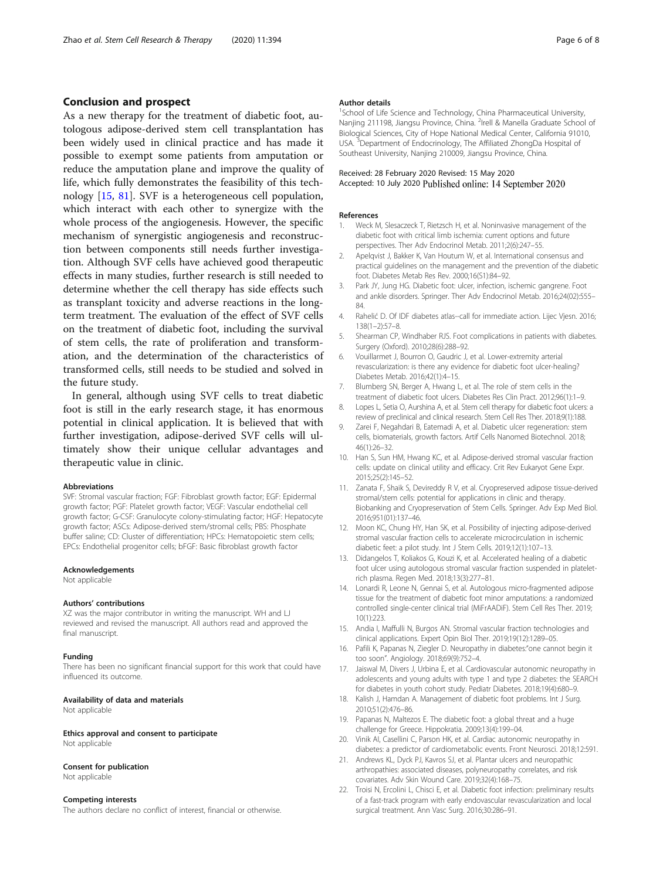## <span id="page-5-0"></span>Conclusion and prospect

As a new therapy for the treatment of diabetic foot, autologous adipose-derived stem cell transplantation has been widely used in clinical practice and has made it possible to exempt some patients from amputation or reduce the amputation plane and improve the quality of life, which fully demonstrates the feasibility of this technology [15, [81](#page-7-0)]. SVF is a heterogeneous cell population, which interact with each other to synergize with the whole process of the angiogenesis. However, the specific mechanism of synergistic angiogenesis and reconstruction between components still needs further investigation. Although SVF cells have achieved good therapeutic effects in many studies, further research is still needed to determine whether the cell therapy has side effects such as transplant toxicity and adverse reactions in the longterm treatment. The evaluation of the effect of SVF cells on the treatment of diabetic foot, including the survival of stem cells, the rate of proliferation and transformation, and the determination of the characteristics of transformed cells, still needs to be studied and solved in the future study.

In general, although using SVF cells to treat diabetic foot is still in the early research stage, it has enormous potential in clinical application. It is believed that with further investigation, adipose-derived SVF cells will ultimately show their unique cellular advantages and therapeutic value in clinic.

#### Abbreviations

SVF: Stromal vascular fraction; FGF: Fibroblast growth factor; EGF: Epidermal growth factor; PGF: Platelet growth factor; VEGF: Vascular endothelial cell growth factor; G-CSF: Granulocyte colony-stimulating factor; HGF: Hepatocyte growth factor; ASCs: Adipose-derived stem/stromal cells; PBS: Phosphate buffer saline; CD: Cluster of differentiation; HPCs: Hematopoietic stem cells; EPCs: Endothelial progenitor cells; bFGF: Basic fibroblast growth factor

#### Acknowledgements

Not applicable

#### Authors' contributions

XZ was the major contributor in writing the manuscript. WH and LJ reviewed and revised the manuscript. All authors read and approved the final manuscript.

#### Funding

There has been no significant financial support for this work that could have influenced its outcome.

#### Availability of data and materials

Not applicable

Ethics approval and consent to participate Not applicable

#### Consent for publication

Not applicable

#### Competing interests

The authors declare no conflict of interest, financial or otherwise.

#### Author details

<sup>1</sup>School of Life Science and Technology, China Pharmaceutical University, Nanjing 211198, Jiangsu Province, China. <sup>2</sup>Irell & Manella Graduate School of Biological Sciences, City of Hope National Medical Center, California 91010, USA.<sup>3</sup> Department of Endocrinology, The Affiliated ZhongDa Hospital of Southeast University, Nanjing 210009, Jiangsu Province, China.

#### Received: 28 February 2020 Revised: 15 May 2020 Accepted: 10 July 2020 Published online: 14 September 2020

#### References

- 1. Weck M, Slesaczeck T, Rietzsch H, et al. Noninvasive management of the diabetic foot with critical limb ischemia: current options and future perspectives. Ther Adv Endocrinol Metab. 2011;2(6):247–55.
- 2. Apelavist J, Bakker K, Van Houtum W, et al. International consensus and practical guidelines on the management and the prevention of the diabetic foot. Diabetes Metab Res Rev. 2000;16(S1):84–92.
- 3. Park JY, Jung HG. Diabetic foot: ulcer, infection, ischemic gangrene. Foot and ankle disorders. Springer. Ther Adv Endocrinol Metab. 2016;24(02):555– 84.
- 4. Rahelić D. Of IDF diabetes atlas--call for immediate action. Lijec Vjesn. 2016; 138(1–2):57–8.
- 5. Shearman CP, Windhaber RJS. Foot complications in patients with diabetes. Surgery (Oxford). 2010;28(6):288–92.
- 6. Vouillarmet J, Bourron O, Gaudric J, et al. Lower-extremity arterial revascularization: is there any evidence for diabetic foot ulcer-healing? Diabetes Metab. 2016;42(1):4–15.
- 7. Blumberg SN, Berger A, Hwang L, et al. The role of stem cells in the treatment of diabetic foot ulcers. Diabetes Res Clin Pract. 2012;96(1):1–9.
- 8. Lopes L, Setia O, Aurshina A, et al. Stem cell therapy for diabetic foot ulcers: a review of preclinical and clinical research. Stem Cell Res Ther. 2018;9(1):188.
- 9. Zarei F, Negahdari B, Eatemadi A, et al. Diabetic ulcer regeneration: stem cells, biomaterials, growth factors. Artif Cells Nanomed Biotechnol. 2018; 46(1):26–32.
- 10. Han S, Sun HM, Hwang KC, et al. Adipose-derived stromal vascular fraction cells: update on clinical utility and efficacy. Crit Rev Eukaryot Gene Expr. 2015;25(2):145–52.
- 11. Zanata F, Shaik S, Devireddy R V, et al. Cryopreserved adipose tissue-derived stromal/stem cells: potential for applications in clinic and therapy. Biobanking and Cryopreservation of Stem Cells. Springer. Adv Exp Med Biol. 2016;951(01):137–46.
- 12. Moon KC, Chung HY, Han SK, et al. Possibility of injecting adipose-derived stromal vascular fraction cells to accelerate microcirculation in ischemic diabetic feet: a pilot study. Int J Stem Cells. 2019;12(1):107–13.
- 13. Didangelos T, Koliakos G, Kouzi K, et al. Accelerated healing of a diabetic foot ulcer using autologous stromal vascular fraction suspended in plateletrich plasma. Regen Med. 2018;13(3):277–81.
- 14. Lonardi R, Leone N, Gennai S, et al. Autologous micro-fragmented adipose tissue for the treatment of diabetic foot minor amputations: a randomized controlled single-center clinical trial (MiFrAADiF). Stem Cell Res Ther. 2019; 10(1):223.
- 15. Andia I, Maffulli N, Burgos AN. Stromal vascular fraction technologies and clinical applications. Expert Opin Biol Ther. 2019;19(12):1289–05.
- 16. Pafili K, Papanas N, Ziegler D. Neuropathy in diabetes:"one cannot begin it too soon". Angiology. 2018;69(9):752–4.
- 17. Jaiswal M, Divers J, Urbina E, et al. Cardiovascular autonomic neuropathy in adolescents and young adults with type 1 and type 2 diabetes: the SEARCH for diabetes in youth cohort study. Pediatr Diabetes. 2018;19(4):680–9.
- 18. Kalish J, Hamdan A. Management of diabetic foot problems. Int J Surg. 2010;51(2):476–86.
- 19. Papanas N, Maltezos E. The diabetic foot: a global threat and a huge challenge for Greece. Hippokratia. 2009;13(4):199–04.
- 20. Vinik AI, Casellini C, Parson HK, et al. Cardiac autonomic neuropathy in diabetes: a predictor of cardiometabolic events. Front Neurosci. 2018;12:591.
- 21. Andrews KL, Dyck PJ, Kavros SJ, et al. Plantar ulcers and neuropathic arthropathies: associated diseases, polyneuropathy correlates, and risk covariates. Adv Skin Wound Care. 2019;32(4):168–75.
- 22. Troisi N, Ercolini L, Chisci E, et al. Diabetic foot infection: preliminary results of a fast-track program with early endovascular revascularization and local surgical treatment. Ann Vasc Surg. 2016;30:286–91.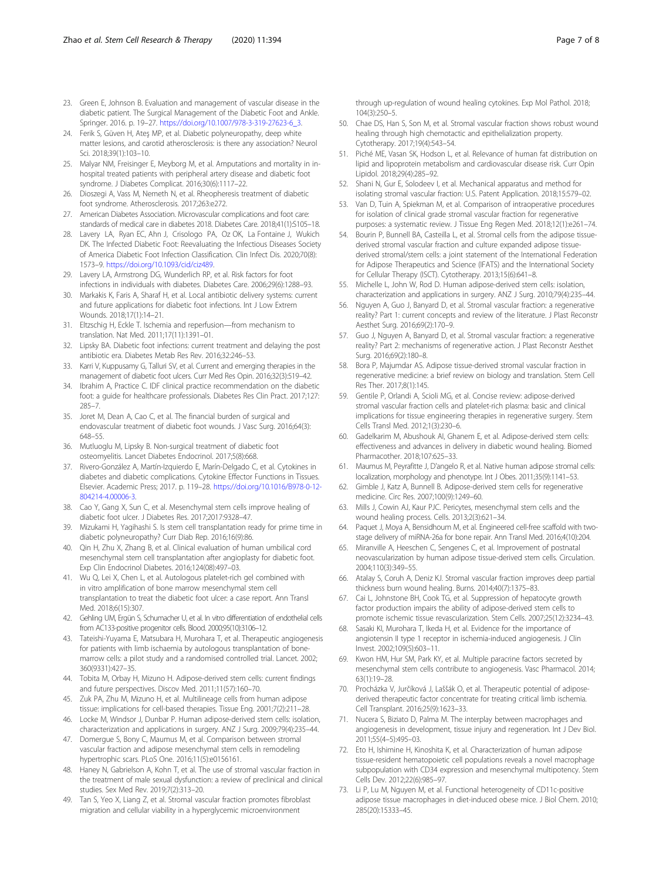- <span id="page-6-0"></span>23. Green E, Johnson B. Evaluation and management of vascular disease in the diabetic patient. The Surgical Management of the Diabetic Foot and Ankle. Springer. 2016. p. 19–27. [https://doi.org/10.1007/978-3-319-27623-6\\_3](https://doi.org/10.1007/978-3-319-27623-6_3).
- 24. Ferik S, Güven H, Ateş MP, et al. Diabetic polyneuropathy, deep white matter lesions, and carotid atherosclerosis: is there any association? Neurol Sci. 2018;39(1):103–10.
- 25. Malyar NM, Freisinger E, Meyborg M, et al. Amputations and mortality in inhospital treated patients with peripheral artery disease and diabetic foot syndrome. J Diabetes Complicat. 2016;30(6):1117–22.
- 26. Dioszegi A, Vass M, Nemeth N, et al. Rheopheresis treatment of diabetic foot syndrome. Atherosclerosis. 2017;263:e272.
- 27. American Diabetes Association. Microvascular complications and foot care: standards of medical care in diabetes 2018. Diabetes Care. 2018;41(1):S105–18.
- 28. Lavery LA, Ryan EC, Ahn J, Crisologo PA, Oz OK, La Fontaine J, Wukich DK. The Infected Diabetic Foot: Reevaluating the Infectious Diseases Society of America Diabetic Foot Infection Classification. Clin Infect Dis. 2020;70(8): 1573–9. <https://doi.org/10.1093/cid/ciz489>.
- 29. Lavery LA, Armstrong DG, Wunderlich RP, et al. Risk factors for foot infections in individuals with diabetes. Diabetes Care. 2006;29(6):1288–93.
- 30. Markakis K, Faris A, Sharaf H, et al. Local antibiotic delivery systems: current and future applications for diabetic foot infections. Int J Low Extrem Wounds. 2018;17(1):14–21.
- 31. Eltzschig H, Eckle T. Ischemia and reperfusion—from mechanism to translation. Nat Med. 2011;17(11):1391–01.
- Lipsky BA. Diabetic foot infections: current treatment and delaying the post antibiotic era. Diabetes Metab Res Rev. 2016;32:246–53.
- 33. Karri V, Kuppusamy G, Talluri SV, et al. Current and emerging therapies in the management of diabetic foot ulcers. Curr Med Res Opin. 2016;32(3):519–42.
- 34. Ibrahim A, Practice C. IDF clinical practice recommendation on the diabetic foot: a guide for healthcare professionals. Diabetes Res Clin Pract. 2017;127: 285–7.
- 35. Joret M, Dean A, Cao C, et al. The financial burden of surgical and endovascular treatment of diabetic foot wounds. J Vasc Surg. 2016;64(3): 648–55.
- 36. Mutluoglu M, Lipsky B. Non-surgical treatment of diabetic foot osteomyelitis. Lancet Diabetes Endocrinol. 2017;5(8):668.
- 37. Rivero-González A, Martín-Izquierdo E, Marín-Delgado C, et al. Cytokines in diabetes and diabetic complications. Cytokine Effector Functions in Tissues. Elsevier. Academic Press; 2017. p. 119–28. [https://doi.org/10.1016/B978-0-12-](https://doi.org/10.1016/B978-0-12-804214-4.00006-3) [804214-4.00006-3](https://doi.org/10.1016/B978-0-12-804214-4.00006-3).
- 38. Cao Y, Gang X, Sun C, et al. Mesenchymal stem cells improve healing of diabetic foot ulcer. J Diabetes Res. 2017;2017:9328–47.
- 39. Mizukami H, Yagihashi S. Is stem cell transplantation ready for prime time in diabetic polyneuropathy? Curr Diab Rep. 2016;16(9):86.
- 40. Qin H, Zhu X, Zhang B, et al. Clinical evaluation of human umbilical cord mesenchymal stem cell transplantation after angioplasty for diabetic foot. Exp Clin Endocrinol Diabetes. 2016;124(08):497–03.
- 41. Wu Q, Lei X, Chen L, et al. Autologous platelet-rich gel combined with in vitro amplification of bone marrow mesenchymal stem cell transplantation to treat the diabetic foot ulcer: a case report. Ann Transl Med. 2018;6(15):307.
- 42. Gehling UM, Ergün S, Schumacher U, et al. In vitro differentiation of endothelial cells from AC133-positive progenitor cells. Blood. 2000;95(10):3106–12.
- 43. Tateishi-Yuyama E, Matsubara H, Murohara T, et al. Therapeutic angiogenesis for patients with limb ischaemia by autologous transplantation of bonemarrow cells: a pilot study and a randomised controlled trial. Lancet. 2002; 360(9331):427–35.
- 44. Tobita M, Orbay H, Mizuno H. Adipose-derived stem cells: current findings and future perspectives. Discov Med. 2011;11(57):160–70.
- 45. Zuk PA, Zhu M, Mizuno H, et al. Multilineage cells from human adipose tissue: implications for cell-based therapies. Tissue Eng. 2001;7(2):211–28.
- 46. Locke M, Windsor J, Dunbar P. Human adipose-derived stem cells: isolation, characterization and applications in surgery. ANZ J Surg. 2009;79(4):235–44.
- 47. Domergue S, Bony C, Maumus M, et al. Comparison between stromal vascular fraction and adipose mesenchymal stem cells in remodeling hypertrophic scars. PLoS One. 2016;11(5):e0156161.
- 48. Haney N, Gabrielson A, Kohn T, et al. The use of stromal vascular fraction in the treatment of male sexual dysfunction: a review of preclinical and clinical studies. Sex Med Rev. 2019;7(2):313–20.
- 49. Tan S, Yeo X, Liang Z, et al. Stromal vascular fraction promotes fibroblast migration and cellular viability in a hyperglycemic microenvironment

through up-regulation of wound healing cytokines. Exp Mol Pathol. 2018; 104(3):250–5.

- 50. Chae DS, Han S, Son M, et al. Stromal vascular fraction shows robust wound healing through high chemotactic and epithelialization property. Cytotherapy. 2017;19(4):543–54.
- 51. Piché ME, Vasan SK, Hodson L, et al. Relevance of human fat distribution on lipid and lipoprotein metabolism and cardiovascular disease risk. Curr Opin Lipidol. 2018;29(4):285–92.
- 52. Shani N, Gur E, Solodeev I, et al. Mechanical apparatus and method for isolating stromal vascular fraction: U.S. Patent Application. 2018;15:579–02.
- 53. Van D, Tuin A, Spiekman M, et al. Comparison of intraoperative procedures for isolation of clinical grade stromal vascular fraction for regenerative purposes: a systematic review. J Tissue Eng Regen Med. 2018;12(1):e261–74.
- 54. Bourin P, Bunnell BA, Casteilla L, et al. Stromal cells from the adipose tissuederived stromal vascular fraction and culture expanded adipose tissuederived stromal/stem cells: a joint statement of the International Federation for Adipose Therapeutics and Science (IFATS) and the International Society for Cellular Therapy (ISCT). Cytotherapy. 2013;15(6):641–8.
- 55. Michelle L, John W, Rod D. Human adipose-derived stem cells: isolation, characterization and applications in surgery. ANZ J Surg. 2010;79(4):235–44.
- 56. Nguyen A, Guo J, Banyard D, et al. Stromal vascular fraction: a regenerative reality? Part 1: current concepts and review of the literature. J Plast Reconstr Aesthet Surg. 2016;69(2):170–9.
- 57. Guo J, Nguyen A, Banyard D, et al. Stromal vascular fraction: a regenerative reality? Part 2: mechanisms of regenerative action. J Plast Reconstr Aesthet Surg. 2016;69(2):180–8.
- 58. Bora P, Majumdar AS. Adipose tissue-derived stromal vascular fraction in regenerative medicine: a brief review on biology and translation. Stem Cell Res Ther. 2017;8(1):145.
- 59. Gentile P, Orlandi A, Scioli MG, et al. Concise review: adipose-derived stromal vascular fraction cells and platelet-rich plasma: basic and clinical implications for tissue engineering therapies in regenerative surgery. Stem Cells Transl Med. 2012;1(3):230–6.
- 60. Gadelkarim M, Abushouk AI, Ghanem E, et al. Adipose-derived stem cells: effectiveness and advances in delivery in diabetic wound healing. Biomed Pharmacother. 2018;107:625–33.
- 61. Maumus M, Peyrafitte J, D'angelo R, et al. Native human adipose stromal cells: localization, morphology and phenotype. Int J Obes. 2011;35(9):1141–53.
- 62. Gimble J, Katz A, Bunnell B. Adipose-derived stem cells for regenerative medicine. Circ Res. 2007;100(9):1249–60.
- 63. Mills J, Cowin AJ, Kaur PJC. Pericytes, mesenchymal stem cells and the wound healing process. Cells. 2013;2(3):621–34.
- 64. Paquet J, Moya A, Bensidhoum M, et al. Engineered cell-free scaffold with twostage delivery of miRNA-26a for bone repair. Ann Transl Med. 2016;4(10):204.
- 65. Miranville A, Heeschen C, Sengenes C, et al. Improvement of postnatal neovascularization by human adipose tissue-derived stem cells. Circulation. 2004;110(3):349–55.
- 66. Atalay S, Coruh A, Deniz KJ. Stromal vascular fraction improves deep partial thickness burn wound healing. Burns. 2014;40(7):1375–83.
- 67. Cai L, Johnstone BH, Cook TG, et al. Suppression of hepatocyte growth factor production impairs the ability of adipose-derived stem cells to promote ischemic tissue revascularization. Stem Cells. 2007;25(12):3234–43.
- 68. Sasaki KI, Murohara T, Ikeda H, et al. Evidence for the importance of angiotensin II type 1 receptor in ischemia-induced angiogenesis. J Clin Invest. 2002;109(5):603–11.
- 69. Kwon HM, Hur SM, Park KY, et al. Multiple paracrine factors secreted by mesenchymal stem cells contribute to angiogenesis. Vasc Pharmacol. 2014; 63(1):19–28.
- 70. Procházka V, Jurčíková J, Laššák O, et al. Therapeutic potential of adiposederived therapeutic factor concentrate for treating critical limb ischemia. Cell Transplant. 2016;25(9):1623–33.
- 71. Nucera S, Biziato D, Palma M. The interplay between macrophages and angiogenesis in development, tissue injury and regeneration. Int J Dev Biol. 2011;55(4–5):495–03.
- 72. Eto H, Ishimine H, Kinoshita K, et al. Characterization of human adipose tissue-resident hematopoietic cell populations reveals a novel macrophage subpopulation with CD34 expression and mesenchymal multipotency. Stem Cells Dev. 2012;22(6):985–97.
- 73. Li P, Lu M, Nguyen M, et al. Functional heterogeneity of CD11c-positive adipose tissue macrophages in diet-induced obese mice. J Biol Chem. 2010; 285(20):15333–45.